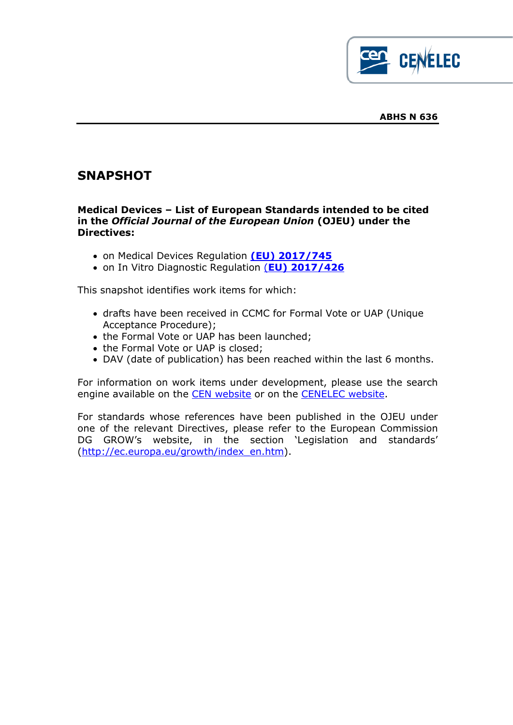

# **SNAPSHOT**

### **Medical Devices – List of European Standards intended to be cited in the** *Official Journal of the European Union* **(OJEU) under the Directives:**

- on Medical Devices Regulation **[\(EU\) 2017/745](https://eur-lex.europa.eu/legal-content/EN/TXT/?uri=CELEX:32017R0745&locale=en)**
- on In Vitro Diagnostic Regulation (**[EU\) 2017/426](https://eur-lex.europa.eu/legal-content/EN/TXT/?qid=1542301249315&uri=CELEX:32017R0746)**

This snapshot identifies work items for which:

- drafts have been received in CCMC for Formal Vote or UAP (Unique Acceptance Procedure);
- the Formal Vote or UAP has been launched:
- the Formal Vote or UAP is closed;
- DAV (date of publication) has been reached within the last 6 months.

For information on work items under development, please use the search engine available on the [CEN website](http://standards.cen.eu/dyn/www/f?p=CENWEB:105::RESET::::) or on the [CENELEC website.](http://www.cenelec.eu/dyn/www/f?p=104:105:1661801259642701::::FSP_LANG_ID:25)

For standards whose references have been published in the OJEU under one of the relevant Directives, please refer to the European Commission DG GROW's website, in the section 'Legislation and standards' [\(http://ec.europa.eu/growth/index\\_en.htm\)](http://ec.europa.eu/growth/index_en.htm).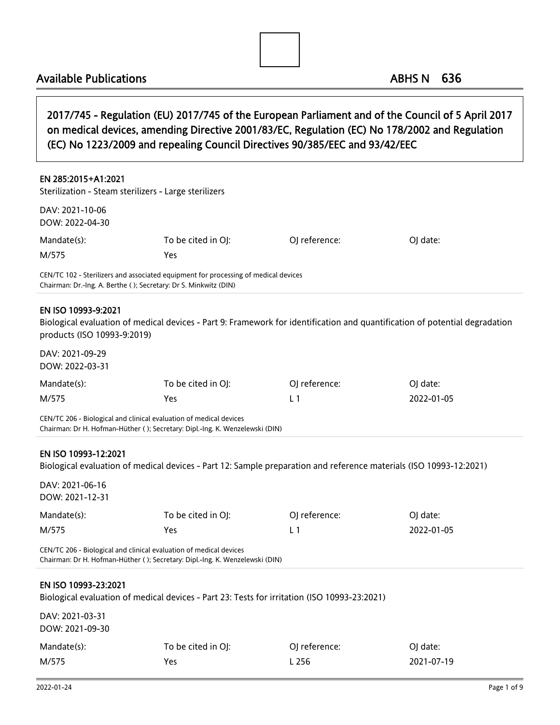

2017/745 - Regulation (EU) 2017/745 of the European Parliament and of the Council of 5 April 2017 on medical devices, amending Directive 2001/83/EC, Regulation (EC) No 178/2002 and Regulation (EC) No 1223/2009 and repealing Council Directives 90/385/EEC and 93/42/EEC

| EN 285:2015+A1:2021                                                                                                                        |                                                                                                                             |                |            |  |
|--------------------------------------------------------------------------------------------------------------------------------------------|-----------------------------------------------------------------------------------------------------------------------------|----------------|------------|--|
| Sterilization - Steam sterilizers - Large sterilizers                                                                                      |                                                                                                                             |                |            |  |
| DAV: 2021-10-06<br>DOW: 2022-04-30                                                                                                         |                                                                                                                             |                |            |  |
| Mandate(s):                                                                                                                                | To be cited in OJ:                                                                                                          | OJ reference:  | OJ date:   |  |
| M/575                                                                                                                                      | Yes                                                                                                                         |                |            |  |
| Chairman: Dr.-Ing. A. Berthe (); Secretary: Dr S. Minkwitz (DIN)                                                                           | CEN/TC 102 - Sterilizers and associated equipment for processing of medical devices                                         |                |            |  |
| EN ISO 10993-9:2021<br>products (ISO 10993-9:2019)                                                                                         | Biological evaluation of medical devices - Part 9: Framework for identification and quantification of potential degradation |                |            |  |
| DAV: 2021-09-29<br>DOW: 2022-03-31                                                                                                         |                                                                                                                             |                |            |  |
| Mandate(s):                                                                                                                                | To be cited in OJ:                                                                                                          | OJ reference:  | OJ date:   |  |
| M/575                                                                                                                                      | <b>Yes</b>                                                                                                                  | L <sub>1</sub> | 2022-01-05 |  |
| CEN/TC 206 - Biological and clinical evaluation of medical devices                                                                         | Chairman: Dr H. Hofman-Hüther (); Secretary: Dipl.-Ing. K. Wenzelewski (DIN)                                                |                |            |  |
| EN ISO 10993-12:2021<br>Biological evaluation of medical devices - Part 12: Sample preparation and reference materials (ISO 10993-12:2021) |                                                                                                                             |                |            |  |
| DAV: 2021-06-16<br>DOW: 2021-12-31                                                                                                         |                                                                                                                             |                |            |  |
| Mandate(s):                                                                                                                                | To be cited in OJ:                                                                                                          | OJ reference:  | OJ date:   |  |
| M/575                                                                                                                                      | <b>Yes</b>                                                                                                                  | L <sub>1</sub> | 2022-01-05 |  |
| CEN/TC 206 - Biological and clinical evaluation of medical devices                                                                         |                                                                                                                             |                |            |  |

Chairman: Dr H. Hofman-Hüther ( ); Secretary: Dipl.-Ing. K. Wenzelewski (DIN)

#### EN ISO 10993-23:2021

Biological evaluation of medical devices - Part 23: Tests for irritation (ISO 10993-23:2021)

| DAV: 2021-03-31 |                    |               |            |
|-----------------|--------------------|---------------|------------|
| DOW: 2021-09-30 |                    |               |            |
| Mandate(s):     | To be cited in OI: | OI reference: | OI date:   |
| M/575           | Yes                | L 256         | 2021-07-19 |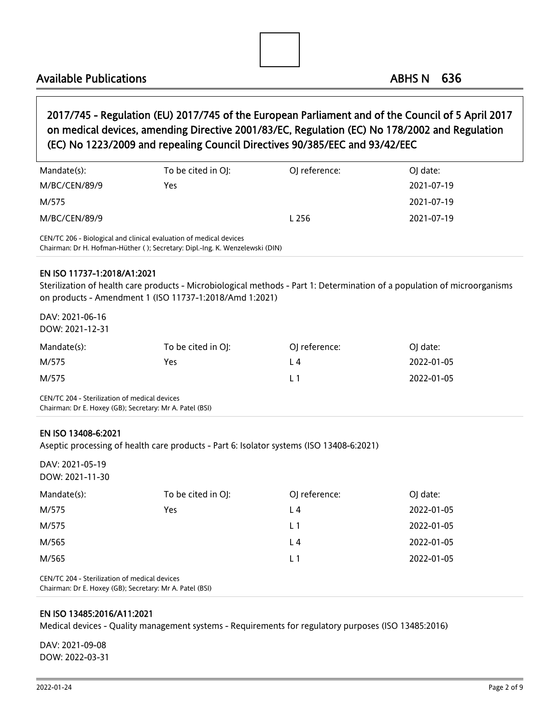

## 2017/745 - Regulation (EU) 2017/745 of the European Parliament and of the Council of 5 April 2017 on medical devices, amending Directive 2001/83/EC, Regulation (EC) No 178/2002 and Regulation (EC) No 1223/2009 and repealing Council Directives 90/385/EEC and 93/42/EEC

| Mandate(s):                                                                                                                                        | To be cited in OJ: | OJ reference: | OJ date:   |
|----------------------------------------------------------------------------------------------------------------------------------------------------|--------------------|---------------|------------|
| M/BC/CEN/89/9                                                                                                                                      | Yes                |               | 2021-07-19 |
| M/575                                                                                                                                              |                    |               | 2021-07-19 |
| M/BC/CEN/89/9                                                                                                                                      |                    | L 256         | 2021-07-19 |
| CEN/TC 206 - Biological and clinical evaluation of medical devices<br>Chairman: Dr H. Hofman-Hüther (); Secretary: Dipl.-Ing. K. Wenzelewski (DIN) |                    |               |            |

#### EN ISO 11737-1:2018/A1:2021

Sterilization of health care products - Microbiological methods - Part 1: Determination of a population of microorganisms on products - Amendment 1 (ISO 11737-1:2018/Amd 1:2021)

DAV: 2021-06-16 DOW: 2021-12-31

| Mandate(s): | To be cited in OJ: | OI reference: | OI date:   |
|-------------|--------------------|---------------|------------|
| M/575       | Yes                | L4            | 2022-01-05 |
| M/575       |                    |               | 2022-01-05 |

CEN/TC 204 - Sterilization of medical devices Chairman: Dr E. Hoxey (GB); Secretary: Mr A. Patel (BSI)

#### EN ISO 13408-6:2021

Aseptic processing of health care products - Part 6: Isolator systems (ISO 13408-6:2021)

DAV: 2021-05-19 DOW: 2021-11-30

| Mandate(s): | To be cited in OJ: | OJ reference: | OJ date:   |
|-------------|--------------------|---------------|------------|
| M/575       | Yes                | L4            | 2022-01-05 |
| M/575       |                    | L 1           | 2022-01-05 |
| M/565       |                    | L4            | 2022-01-05 |
| M/565       |                    | L 1           | 2022-01-05 |
| .           |                    |               |            |

CEN/TC 204 - Sterilization of medical devices Chairman: Dr E. Hoxey (GB); Secretary: Mr A. Patel (BSI)

#### EN ISO 13485:2016/A11:2021

Medical devices - Quality management systems - Requirements for regulatory purposes (ISO 13485:2016)

DAV: 2021-09-08 DOW: 2022-03-31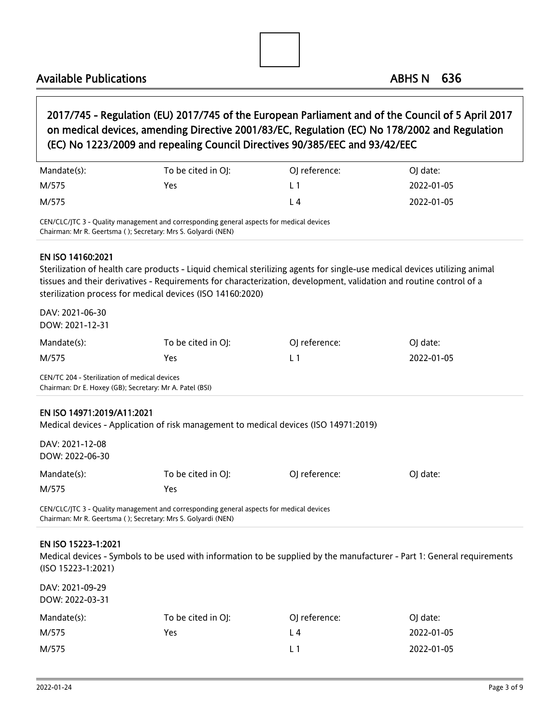

## 2017/745 - Regulation (EU) 2017/745 of the European Parliament and of the Council of 5 April 2017 on medical devices, amending Directive 2001/83/EC, Regulation (EC) No 178/2002 and Regulation (EC) No 1223/2009 and repealing Council Directives 90/385/EEC and 93/42/EEC

| Mandate(s): | To be cited in OJ: | OI reference: | OJ date:   |
|-------------|--------------------|---------------|------------|
| M/575       | Yes                |               | 2022-01-05 |
| M/575       |                    | L 4           | 2022-01-05 |

CEN/CLC/JTC 3 - Quality management and corresponding general aspects for medical devices Chairman: Mr R. Geertsma ( ); Secretary: Mrs S. Golyardi (NEN)

#### EN ISO 14160:2021

Sterilization of health care products - Liquid chemical sterilizing agents for single-use medical devices utilizing animal tissues and their derivatives - Requirements for characterization, development, validation and routine control of a sterilization process for medical devices (ISO 14160:2020)

| DAV: 2021-06-30                                          |                    |               |            |  |
|----------------------------------------------------------|--------------------|---------------|------------|--|
| DOW: 2021-12-31                                          |                    |               |            |  |
| Mandate(s):                                              | To be cited in OJ: | OJ reference: | OJ date:   |  |
| M/575                                                    | Yes                | L 1           | 2022-01-05 |  |
| CEN/TC 204 - Sterilization of medical devices            |                    |               |            |  |
| Chairman: Dr E. Hoxey (GB); Secretary: Mr A. Patel (BSI) |                    |               |            |  |
|                                                          |                    |               |            |  |

### EN ISO 14971:2019/A11:2021

Medical devices - Application of risk management to medical devices (ISO 14971:2019)

| DAV: 2021-12-08 |                    |               |          |
|-----------------|--------------------|---------------|----------|
| DOW: 2022-06-30 |                    |               |          |
| Mandate(s):     | To be cited in OJ: | OI reference: | OI date: |
| M/575           | Yes                |               |          |

CEN/CLC/JTC 3 - Quality management and corresponding general aspects for medical devices Chairman: Mr R. Geertsma ( ); Secretary: Mrs S. Golyardi (NEN)

#### EN ISO 15223-1:2021

Medical devices - Symbols to be used with information to be supplied by the manufacturer - Part 1: General requirements (ISO 15223-1:2021)

DAV: 2021-09-29 DOW: 2022-03-31

| Mandate(s): | To be cited in OJ: | OJ reference: | OI date:   |
|-------------|--------------------|---------------|------------|
| M/575       | Yes.               | L 4           | 2022-01-05 |
| M/575       |                    |               | 2022-01-05 |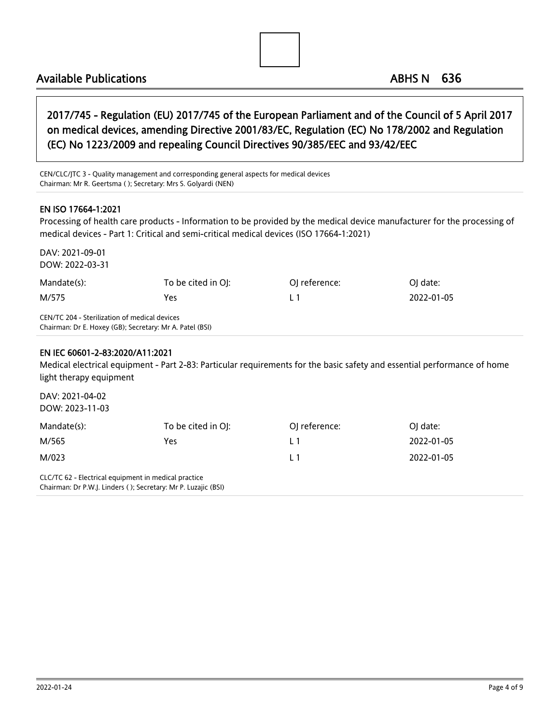## 2017/745 - Regulation (EU) 2017/745 of the European Parliament and of the Council of 5 April 2017 on medical devices, amending Directive 2001/83/EC, Regulation (EC) No 178/2002 and Regulation (EC) No 1223/2009 and repealing Council Directives 90/385/EEC and 93/42/EEC

CEN/CLC/JTC 3 - Quality management and corresponding general aspects for medical devices Chairman: Mr R. Geertsma ( ); Secretary: Mrs S. Golyardi (NEN)

#### EN ISO 17664-1:2021

Processing of health care products - Information to be provided by the medical device manufacturer for the processing of medical devices - Part 1: Critical and semi-critical medical devices (ISO 17664-1:2021)

DAV: 2021-09-01 DOW: 2022-03-31 Mandate(s): To be cited in OJ: Coloreference: Coloreference: OJ date: M/575 Yes L 1 2022-01-05 CEN/TC 204 - Sterilization of medical devices Chairman: Dr E. Hoxey (GB); Secretary: Mr A. Patel (BSI)

#### EN IEC 60601-2-83:2020/A11:2021

Medical electrical equipment - Part 2-83: Particular requirements for the basic safety and essential performance of home light therapy equipment

| DAV: 2021-04-02<br>DOW: 2023-11-03                   |                                                                |               |            |  |
|------------------------------------------------------|----------------------------------------------------------------|---------------|------------|--|
| Mandate(s):                                          | To be cited in OI:                                             | OJ reference: | OJ date:   |  |
| M/565                                                | Yes                                                            | L 1           | 2022-01-05 |  |
| M/023                                                |                                                                | L 1           | 2022-01-05 |  |
| CLC/TC 62 - Electrical equipment in medical practice | Chairman: Dr P.W.J. Linders (); Secretary: Mr P. Luzajic (BSI) |               |            |  |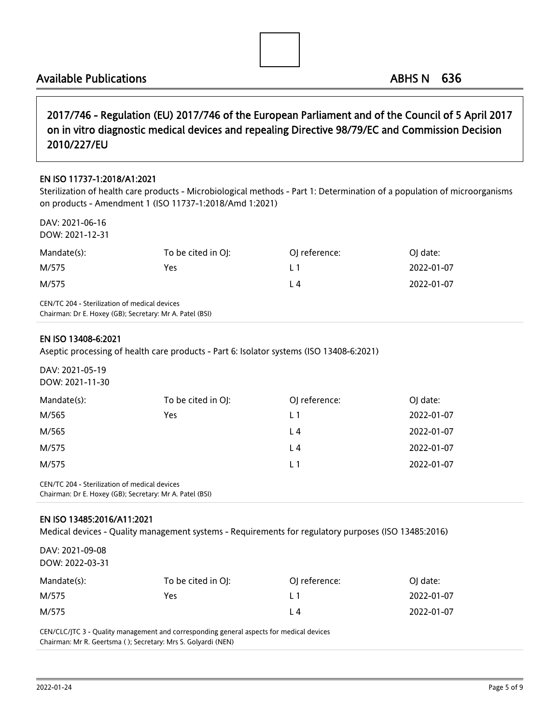2017/746 - Regulation (EU) 2017/746 of the European Parliament and of the Council of 5 April 2017 on in vitro diagnostic medical devices and repealing Directive 98/79/EC and Commission Decision 2010/227/EU

#### EN ISO 11737-1:2018/A1:2021

Sterilization of health care products - Microbiological methods - Part 1: Determination of a population of microorganisms on products - Amendment 1 (ISO 11737-1:2018/Amd 1:2021)

DAV: 2021-06-16 DOW: 2021-12-31

| Mandate(s):                                                                                               | To be cited in OJ: | OJ reference: | OI date:   |  |
|-----------------------------------------------------------------------------------------------------------|--------------------|---------------|------------|--|
| M/575                                                                                                     | Yes                | l 1           | 2022-01-07 |  |
| M/575                                                                                                     |                    | L 4           | 2022-01-07 |  |
| CEN/TC 204 - Sterilization of medical devices<br>Chairman: Dr E. Hoxey (GB): Secretary: Mr A. Patel (BSI) |                    |               |            |  |

EN ISO 13408-6:2021

Aseptic processing of health care products - Part 6: Isolator systems (ISO 13408-6:2021)

DAV: 2021-05-19 DOW: 2021-11-30

| Mandate(s): | To be cited in OJ: | OJ reference: | OJ date:   |
|-------------|--------------------|---------------|------------|
| M/565       | Yes                | L 1           | 2022-01-07 |
| M/565       |                    | L4            | 2022-01-07 |
| M/575       |                    | L4            | 2022-01-07 |
| M/575       |                    | $\perp$ 1     | 2022-01-07 |
|             |                    |               |            |

CEN/TC 204 - Sterilization of medical devices Chairman: Dr E. Hoxey (GB); Secretary: Mr A. Patel (BSI)

#### EN ISO 13485:2016/A11:2021

Medical devices - Quality management systems - Requirements for regulatory purposes (ISO 13485:2016)

| DAV: 2021-09-08<br>DOW: 2022-03-31 |                    |               |            |
|------------------------------------|--------------------|---------------|------------|
| Mandate(s):                        | To be cited in OJ: | OJ reference: | OJ date:   |
| M/575                              | Yes                | L1            | 2022-01-07 |
| M/575                              |                    | L4            | 2022-01-07 |

CEN/CLC/JTC 3 - Quality management and corresponding general aspects for medical devices Chairman: Mr R. Geertsma ( ); Secretary: Mrs S. Golyardi (NEN)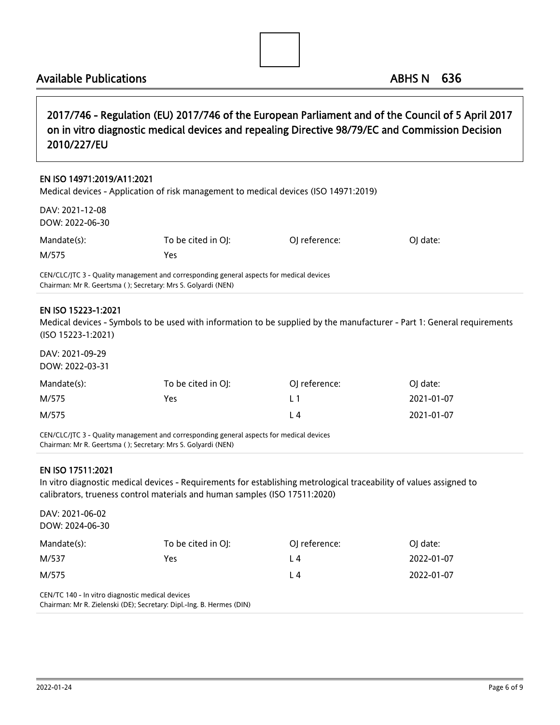2017/746 - Regulation (EU) 2017/746 of the European Parliament and of the Council of 5 April 2017 on in vitro diagnostic medical devices and repealing Directive 98/79/EC and Commission Decision 2010/227/EU

#### EN ISO 14971:2019/A11:2021

Medical devices - Application of risk management to medical devices (ISO 14971:2019)

| DAV: 2021-12-08<br>DOW: 2022-06-30 |                    |               |          |
|------------------------------------|--------------------|---------------|----------|
| Mandate(s):                        | To be cited in OJ: | OI reference: | OI date: |
| M/575                              | Yes                |               |          |

CEN/CLC/JTC 3 - Quality management and corresponding general aspects for medical devices Chairman: Mr R. Geertsma ( ); Secretary: Mrs S. Golyardi (NEN)

#### EN ISO 15223-1:2021

Medical devices - Symbols to be used with information to be supplied by the manufacturer - Part 1: General requirements (ISO 15223-1:2021)

DAV: 2021-09-29 DOW: 2022-03-31

| Mandate(s): | To be cited in OJ: | OJ reference: | OI date:   |
|-------------|--------------------|---------------|------------|
| M/575       | Yes                | l 1           | 2021-01-07 |
| M/575       |                    | L 4           | 2021-01-07 |

CEN/CLC/JTC 3 - Quality management and corresponding general aspects for medical devices Chairman: Mr R. Geertsma ( ); Secretary: Mrs S. Golyardi (NEN)

#### EN ISO 17511:2021

In vitro diagnostic medical devices - Requirements for establishing metrological traceability of values assigned to calibrators, trueness control materials and human samples (ISO 17511:2020)

| DAV: 2021-06-02                                  |                                                                       |               |            |
|--------------------------------------------------|-----------------------------------------------------------------------|---------------|------------|
| DOW: 2024-06-30                                  |                                                                       |               |            |
| Mandate(s):                                      | To be cited in OI:                                                    | OJ reference: | OJ date:   |
| M/537                                            | Yes                                                                   | L4            | 2022-01-07 |
| M/575                                            |                                                                       | L4            | 2022-01-07 |
| CEN/TC 140 - In vitro diagnostic medical devices |                                                                       |               |            |
|                                                  | Chairman: Mr R. Zielenski (DE); Secretary: Dipl.-Ing. B. Hermes (DIN) |               |            |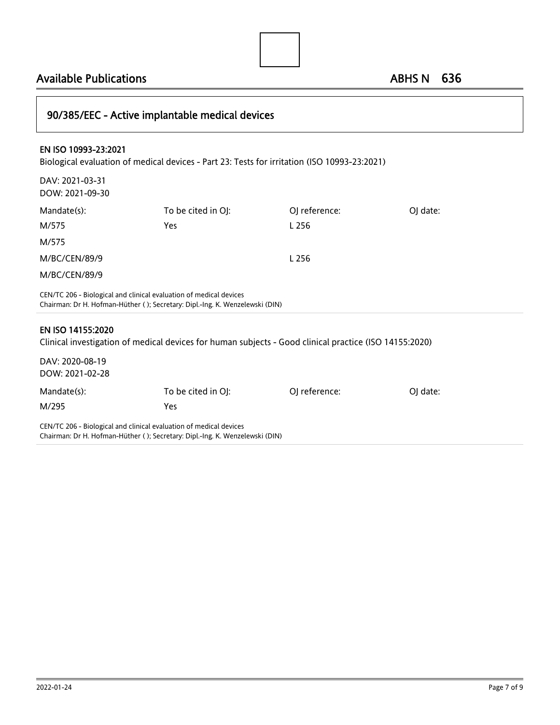90/385/EEC - Active implantable medical devices EN ISO 10993-23:2021 Biological evaluation of medical devices - Part 23: Tests for irritation (ISO 10993-23:2021) DAV: 2021-03-31 DOW: 2021-09-30 Mandate(s): To be cited in OJ: Capace Coloreference: OJ date: M/575 Yes L 256 M/575 M/BC/CEN/89/9 L 256 M/BC/CEN/89/9 CEN/TC 206 - Biological and clinical evaluation of medical devices Chairman: Dr H. Hofman-Hüther ( ); Secretary: Dipl.-Ing. K. Wenzelewski (DIN) EN ISO 14155:2020 Clinical investigation of medical devices for human subjects - Good clinical practice (ISO 14155:2020) DAV: 2020-08-19 DOW: 2021-02-28 Mandate(s): To be cited in OJ: Coloreference: OJ date: M/295 Yes CEN/TC 206 - Biological and clinical evaluation of medical devices Chairman: Dr H. Hofman-Hüther ( ); Secretary: Dipl.-Ing. K. Wenzelewski (DIN)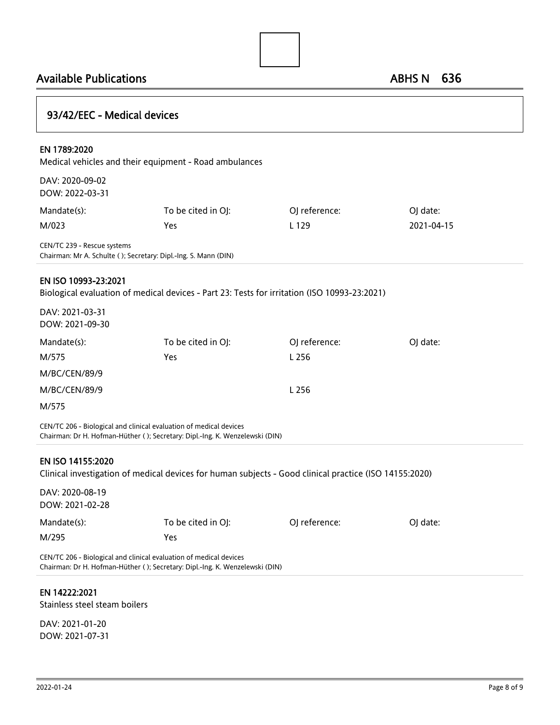

| 93/42/EEC - Medical devices        |                                                                                                                                                    |               |            |
|------------------------------------|----------------------------------------------------------------------------------------------------------------------------------------------------|---------------|------------|
| EN 1789:2020                       | Medical vehicles and their equipment - Road ambulances                                                                                             |               |            |
| DAV: 2020-09-02<br>DOW: 2022-03-31 |                                                                                                                                                    |               |            |
| Mandate(s):                        | To be cited in OJ:                                                                                                                                 | OJ reference: | OJ date:   |
| M/023                              | Yes                                                                                                                                                | L 129         | 2021-04-15 |
| CEN/TC 239 - Rescue systems        | Chairman: Mr A. Schulte (); Secretary: Dipl.-Ing. S. Mann (DIN)                                                                                    |               |            |
| EN ISO 10993-23:2021               | Biological evaluation of medical devices - Part 23: Tests for irritation (ISO 10993-23:2021)                                                       |               |            |
| DAV: 2021-03-31<br>DOW: 2021-09-30 |                                                                                                                                                    |               |            |
| Mandate(s):                        | To be cited in OJ:                                                                                                                                 | OJ reference: | OJ date:   |
| M/575                              | Yes                                                                                                                                                | L 256         |            |
| M/BC/CEN/89/9                      |                                                                                                                                                    |               |            |
| M/BC/CEN/89/9                      |                                                                                                                                                    | L 256         |            |
| M/575                              |                                                                                                                                                    |               |            |
|                                    | CEN/TC 206 - Biological and clinical evaluation of medical devices<br>Chairman: Dr H. Hofman-Hüther (); Secretary: Dipl.-Ing. K. Wenzelewski (DIN) |               |            |
| EN ISO 14155:2020                  | Clinical investigation of medical devices for human subjects - Good clinical practice (ISO 14155:2020)                                             |               |            |
| DAV: 2020-08-19<br>DOW: 2021-02-28 |                                                                                                                                                    |               |            |
| Mandate(s):                        | To be cited in OJ:                                                                                                                                 | OJ reference: | OJ date:   |
| M/295                              | Yes                                                                                                                                                |               |            |
|                                    |                                                                                                                                                    |               |            |

CEN/TC 206 - Biological and clinical evaluation of medical devices Chairman: Dr H. Hofman-Hüther ( ); Secretary: Dipl.-Ing. K. Wenzelewski (DIN)

#### EN 14222:2021

Stainless steel steam boilers

DAV: 2021-01-20 DOW: 2021-07-31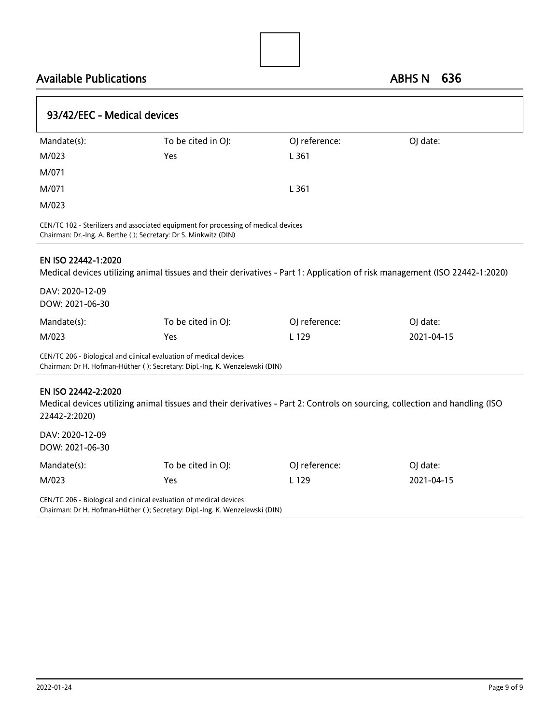| 93/42/EEC - Medical devices                               |                                                                                                                                                         |               |                                                                                                                             |  |  |
|-----------------------------------------------------------|---------------------------------------------------------------------------------------------------------------------------------------------------------|---------------|-----------------------------------------------------------------------------------------------------------------------------|--|--|
| Mandate(s):                                               | To be cited in OJ:                                                                                                                                      | OJ reference: | OJ date:                                                                                                                    |  |  |
| M/023                                                     | Yes                                                                                                                                                     | L 361         |                                                                                                                             |  |  |
| M/071                                                     |                                                                                                                                                         |               |                                                                                                                             |  |  |
| M/071                                                     |                                                                                                                                                         | L361          |                                                                                                                             |  |  |
| M/023                                                     |                                                                                                                                                         |               |                                                                                                                             |  |  |
|                                                           | CEN/TC 102 - Sterilizers and associated equipment for processing of medical devices<br>Chairman: Dr.-Ing. A. Berthe (); Secretary: Dr S. Minkwitz (DIN) |               |                                                                                                                             |  |  |
| EN ISO 22442-1:2020<br>DAV: 2020-12-09<br>DOW: 2021-06-30 |                                                                                                                                                         |               | Medical devices utilizing animal tissues and their derivatives - Part 1: Application of risk management (ISO 22442-1:2020)  |  |  |
| Mandate(s):                                               | To be cited in OJ:                                                                                                                                      | OJ reference: | OJ date:                                                                                                                    |  |  |
| M/023                                                     | Yes                                                                                                                                                     | L 129         | 2021-04-15                                                                                                                  |  |  |
|                                                           | CEN/TC 206 - Biological and clinical evaluation of medical devices<br>Chairman: Dr H. Hofman-Hüther (); Secretary: Dipl.-Ing. K. Wenzelewski (DIN)      |               |                                                                                                                             |  |  |
| EN ISO 22442-2:2020<br>22442-2:2020)                      |                                                                                                                                                         |               | Medical devices utilizing animal tissues and their derivatives - Part 2: Controls on sourcing, collection and handling (ISO |  |  |
| DAV: 2020-12-09<br>DOW: 2021-06-30                        |                                                                                                                                                         |               |                                                                                                                             |  |  |
| Mandate(s):                                               | To be cited in OJ:                                                                                                                                      | OJ reference: | OJ date:                                                                                                                    |  |  |
| M/023                                                     | Yes                                                                                                                                                     | L 129         | 2021-04-15                                                                                                                  |  |  |
|                                                           | CEN/TC 206 - Biological and clinical evaluation of medical devices                                                                                      |               |                                                                                                                             |  |  |

Chairman: Dr H. Hofman-Hüther ( ); Secretary: Dipl.-Ing. K. Wenzelewski (DIN)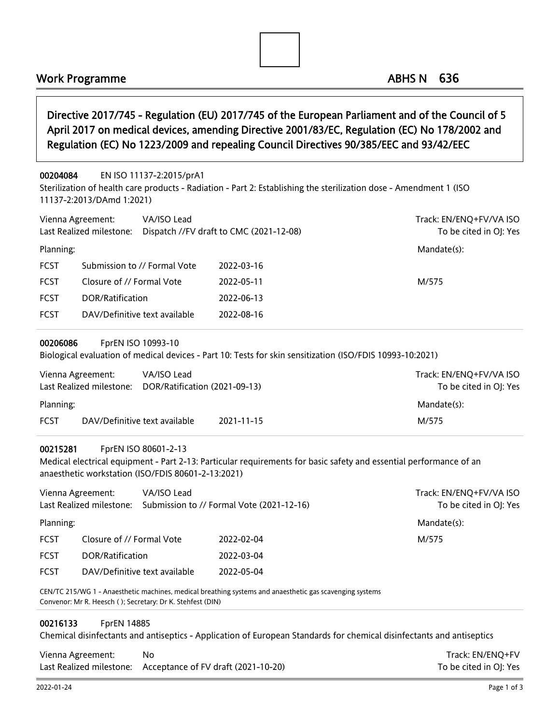## Work Programme ABHS N 636

## Directive 2017/745 - Regulation (EU) 2017/745 of the European Parliament and of the Council of 5 April 2017 on medical devices, amending Directive 2001/83/EC, Regulation (EC) No 178/2002 and Regulation (EC) No 1223/2009 and repealing Council Directives 90/385/EEC and 93/42/EEC

#### 00204084 EN ISO 11137-2:2015/prA1

Sterilization of health care products - Radiation - Part 2: Establishing the sterilization dose - Amendment 1 (ISO 11137-2:2013/DAmd 1:2021)

| Vienna Agreement: | VA/ISO Lead<br>Last Realized milestone: | Dispatch //FV draft to CMC (2021-12-08) | Track: EN/ENQ+FV/VA ISO<br>To be cited in OJ: Yes |
|-------------------|-----------------------------------------|-----------------------------------------|---------------------------------------------------|
| Planning:         |                                         |                                         | Mandate(s):                                       |
| <b>FCST</b>       | Submission to // Formal Vote            | 2022-03-16                              |                                                   |
| <b>FCST</b>       | Closure of // Formal Vote               | 2022-05-11                              | M/575                                             |
| <b>FCST</b>       | DOR/Ratification                        | 2022-06-13                              |                                                   |
| <b>FCST</b>       | DAV/Definitive text available           | 2022-08-16                              |                                                   |
|                   |                                         |                                         |                                                   |

#### 00206086 FprEN ISO 10993-10

Biological evaluation of medical devices - Part 10: Tests for skin sensitization (ISO/FDIS 10993-10:2021)

| Vienna Agreement: | Last Realized milestone:      | VA/ISO Lead<br>DOR/Ratification (2021-09-13) |            | Track: EN/ENO+FV/VA ISO<br>To be cited in OJ: Yes |
|-------------------|-------------------------------|----------------------------------------------|------------|---------------------------------------------------|
| Planning:         |                               |                                              |            | Mandate(s):                                       |
| <b>FCST</b>       | DAV/Definitive text available |                                              | 2021-11-15 | M/575                                             |

#### 00215281 FprEN ISO 80601-2-13

Medical electrical equipment - Part 2-13: Particular requirements for basic safety and essential performance of an anaesthetic workstation (ISO/FDIS 80601-2-13:2021)

|             | Vienna Agreement:<br>Last Realized milestone: | VA/ISO Lead | Submission to // Formal Vote (2021-12-16) | Track: EN/ENQ+FV/VA ISO<br>To be cited in OJ: Yes |
|-------------|-----------------------------------------------|-------------|-------------------------------------------|---------------------------------------------------|
| Planning:   |                                               |             |                                           | Mandate(s):                                       |
| <b>FCST</b> | Closure of // Formal Vote                     |             | 2022-02-04                                | M/575                                             |
| <b>FCST</b> | DOR/Ratification                              |             | 2022-03-04                                |                                                   |
| <b>FCST</b> | DAV/Definitive text available                 |             | 2022-05-04                                |                                                   |

CEN/TC 215/WG 1 - Anaesthetic machines, medical breathing systems and anaesthetic gas scavenging systems Convenor: Mr R. Heesch ( ); Secretary: Dr K. Stehfest (DIN)

#### 00216133 FprEN 14885

Chemical disinfectants and antiseptics - Application of European Standards for chemical disinfectants and antiseptics

| Vienna Agreement: | No                                                           | Track: EN/ENO+FV       |
|-------------------|--------------------------------------------------------------|------------------------|
|                   | Last Realized milestone: Acceptance of FV draft (2021-10-20) | To be cited in OJ: Yes |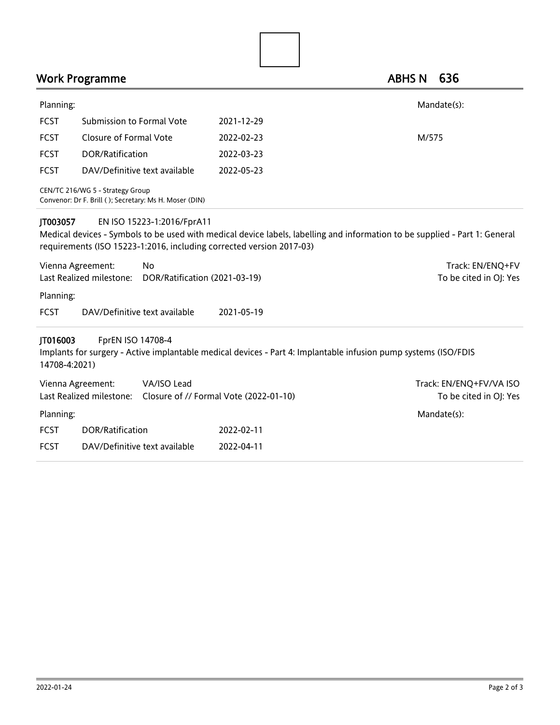|                           | Work Programme                                                                                     |                                                                                                                             | <b>ABHS N</b> | 636                     |
|---------------------------|----------------------------------------------------------------------------------------------------|-----------------------------------------------------------------------------------------------------------------------------|---------------|-------------------------|
| Planning:                 |                                                                                                    |                                                                                                                             |               | Mandate(s):             |
| <b>FCST</b>               | Submission to Formal Vote                                                                          | 2021-12-29                                                                                                                  |               |                         |
| <b>FCST</b>               | <b>Closure of Formal Vote</b>                                                                      | 2022-02-23                                                                                                                  | M/575         |                         |
| <b>FCST</b>               | DOR/Ratification                                                                                   | 2022-03-23                                                                                                                  |               |                         |
| <b>FCST</b>               | DAV/Definitive text available                                                                      | 2022-05-23                                                                                                                  |               |                         |
|                           | CEN/TC 216/WG 5 - Strategy Group<br>Convenor: Dr F. Brill (); Secretary: Ms H. Moser (DIN)         |                                                                                                                             |               |                         |
| JT003057                  | EN ISO 15223-1:2016/FprA11<br>requirements (ISO 15223-1:2016, including corrected version 2017-03) | Medical devices - Symbols to be used with medical device labels, labelling and information to be supplied - Part 1: General |               |                         |
| Vienna Agreement:         | No                                                                                                 |                                                                                                                             |               | Track: EN/ENQ+FV        |
|                           | Last Realized milestone:<br>DOR/Ratification (2021-03-19)                                          |                                                                                                                             |               | To be cited in OJ: Yes  |
| Planning:                 |                                                                                                    |                                                                                                                             |               |                         |
| <b>FCST</b>               | DAV/Definitive text available                                                                      | 2021-05-19                                                                                                                  |               |                         |
| JT016003<br>14708-4:2021) | FprEN ISO 14708-4                                                                                  | Implants for surgery - Active implantable medical devices - Part 4: Implantable infusion pump systems (ISO/FDIS             |               |                         |
| Vienna Agreement:         | VA/ISO Lead                                                                                        |                                                                                                                             |               | Track: EN/ENQ+FV/VA ISO |
|                           | Last Realized milestone: Closure of // Formal Vote (2022-01-10)                                    |                                                                                                                             |               | To be cited in OJ: Yes  |
| Planning:                 |                                                                                                    |                                                                                                                             |               | Mandate(s):             |
| <b>FCST</b>               | DOR/Ratification                                                                                   | 2022-02-11                                                                                                                  |               |                         |
| <b>FCST</b>               | DAV/Definitive text available                                                                      | 2022-04-11                                                                                                                  |               |                         |
|                           |                                                                                                    |                                                                                                                             |               |                         |